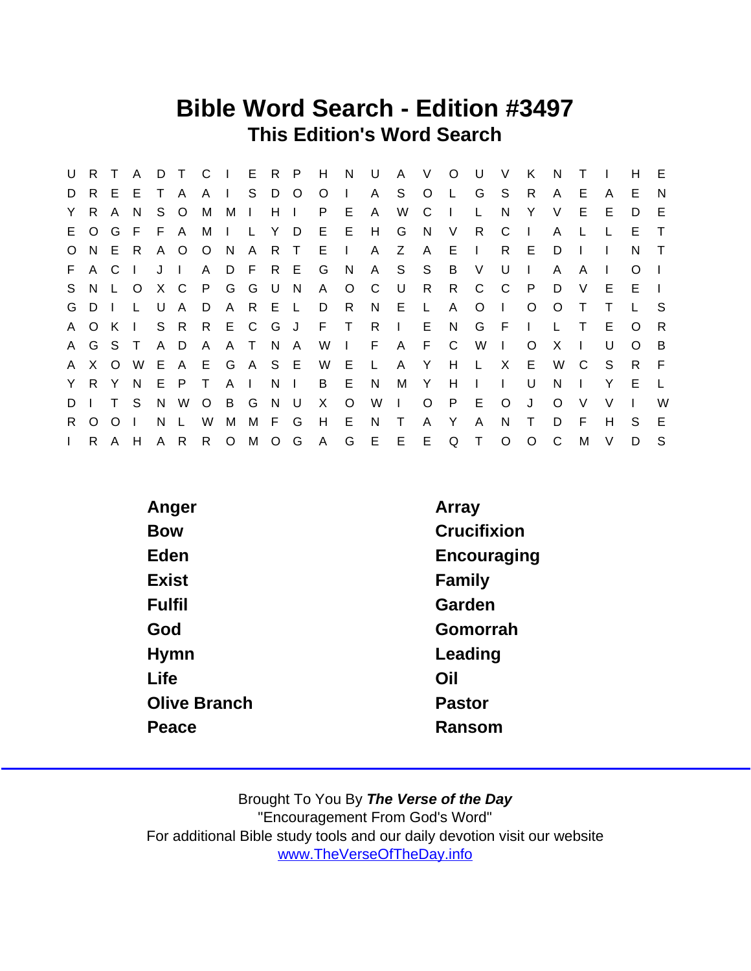### Bible Word Search - Edition #3497 This Edition's Word Search

| U            | R.       |          | A            | D  | $\top$       |               | $C \parallel$ |              | E R   | - P            | H       | N              | U            | $\mathsf{A}$ | $\vee$       | $\circ$      | U            | $\vee$       | K            | N            |              |        | н        | -E             |
|--------------|----------|----------|--------------|----|--------------|---------------|---------------|--------------|-------|----------------|---------|----------------|--------------|--------------|--------------|--------------|--------------|--------------|--------------|--------------|--------------|--------|----------|----------------|
| D            | R.       | E.       | E            | T. | A            | $A \mid$      |               | S.           | D     | $\overline{O}$ | $\circ$ | $\mathbf{I}$   | A            | S.           | $\circ$      | - L.         | G            | S.           | R.           | A            | Е            | A      | E.       | N              |
| Y.           | R.       | A        | N            | S. | $\circ$      | M             | M I           |              | H     | $\mathbf{I}$   | P.      | E              | $\mathsf{A}$ | W            | C            | $\mathbf{L}$ |              | N            | Y            | V            | E.           | Е      | D        | E              |
|              | E O      | G        | - F          | F. | $\mathsf{A}$ | M             | $\sim 1$ .    | $\mathbf{L}$ | Y     | D.             | E.      | E              | H            | G            | N.           | V            | R.           | C            | $\mathbf{I}$ | A            |              |        | E.       | $\top$         |
| $\circ$      | N.       |          | E R          |    | A O          | O N           |               |              | A R T |                | E       | $\mathbf{L}$   | A            | Z            | $\mathsf{A}$ | E.           | $\sim 1$ .   | R            | E            | D            |              |        | N.       | $\top$         |
|              | F A C    |          | $\mathbf{I}$ | JI |              | A             |               | DFR          |       | - E            | G       | - N            | A            | S S          |              | B            | $\vee$       | U            | $\mathbf{L}$ | A            | A            |        | O        |                |
| S.           |          | N L      | $\circ$      |    | X C          | P G G U       |               |              |       | N              | A       | $\circ$        | C            | U            | R            | R.           | C            | $\mathbf{C}$ | $\mathsf{P}$ | D            | V            | Е      | E.       |                |
|              | GDI      |          | L.           | U  | $\mathsf{A}$ | D             |               | A R E L      |       |                | D       | R.             | N            | E.           | $\mathsf{L}$ | $\mathsf{A}$ | O            | $\mathbf{I}$ | $\circ$      | $\Omega$     | T            |        |          | - S            |
|              | A O      | K        | $\Box$       |    | S R          | R E C G       |               |              |       | J.             | F T     |                | R            | $\mathbf{I}$ | E.           | N,           | G            | - F          | $\mathbf{L}$ | $\mathbb{L}$ | $\top$       | Е      | $\circ$  | R              |
|              | A G S T  |          |              |    | A D          | A             |               | ATNA         |       |                | W       | $\blacksquare$ | F            | A F          |              | C C          | W            | $\mathbf{I}$ | $\Omega$     | X            | $\mathbf{I}$ | U      | $\Omega$ | $\overline{B}$ |
|              | A X      | $\circ$  | W            |    |              | E A E G A S E |               |              |       |                | W       | Е              | $\mathsf{L}$ | A            | $\mathsf{Y}$ | H            | $\mathsf{L}$ | $\mathsf{X}$ | E.           | W            | C.           | S.     | R.       | - F            |
|              | Y R Y    |          | N.           | E. | P.           | $\top$        | $A \mid$      |              | N.    | $\Box$         | B       | E              | N            | M            | Y            | H            | $\mathbf{L}$ | $\mathbf{L}$ | U            | N.           |              | Y      | E        | $\perp$        |
| D            |          | T.       | <sub>S</sub> | N. | W            | $\circ$       | B             | G            | N     | - U            | X.      | $\circ$        | W            | $\mathbf{I}$ | $\circ$      | P            | E            | $\circ$      | J            | $\Omega$     | V            | V      |          | W              |
| $R_{\perp}$  | $\Omega$ | $\Omega$ |              | N  | L            | W             | M             | M F          |       | G              | H       | E              | N            | $\top$       | A            | Y            | A            | N            | $\top$       | D            | F            | H      | S.       | E              |
| $\mathbf{L}$ |          | R A H    |              |    | A R          |               | R O M O G     |              |       |                | A       | G              |              | E E E        |              | Q            | $\top$       | $\circ$      | $\circ$      | C            | M            | $\vee$ | D        | S.             |

| Anger               | Array       |
|---------------------|-------------|
| <b>Bow</b>          | Crucifixion |
| Eden                | Encouraging |
| <b>Exist</b>        | Family      |
| <b>Fulfil</b>       | Garden      |
| God                 | Gomorrah    |
| Hymn                | Leading     |
| Life                | Oil         |
| <b>Olive Branch</b> | Pastor      |
| Peace               | Ransom      |
|                     |             |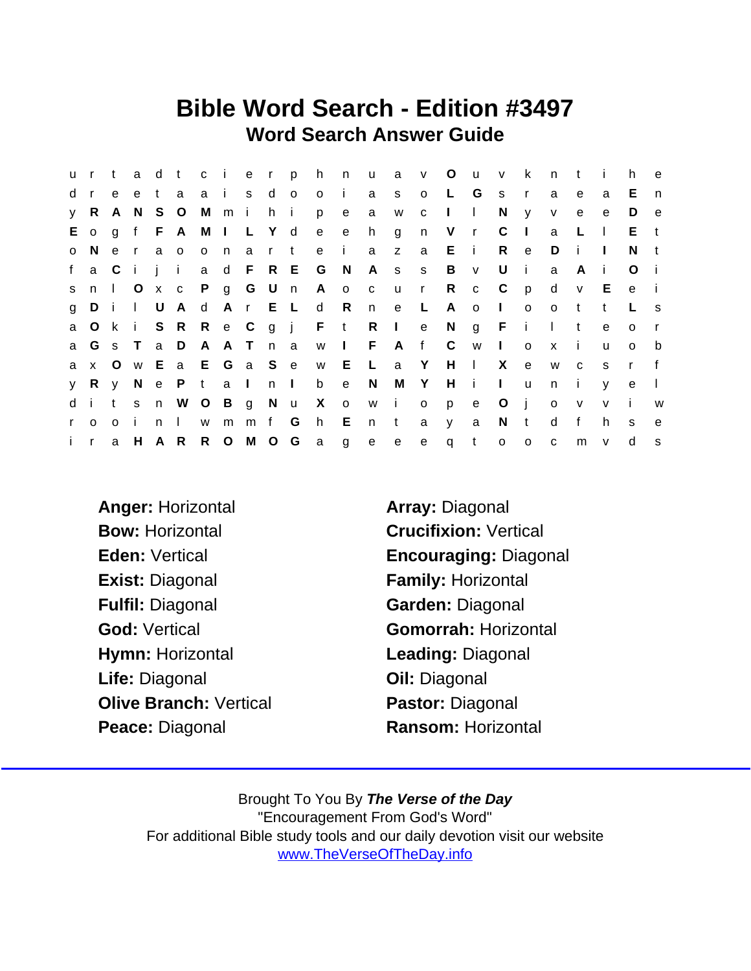### Bible Word Search - Edition #3497 Word Search Answer Guide

|              | ur t         |              |              | a d t   |                 |              | c i     |              | e r p    |             | h            | n              | $\mathsf{u}$ | a               | V            | $\circ$      | U V          |                | k            | n.           | $-t$         | $\mathbf{i}$ | h            | $\mathbf{e}$ |
|--------------|--------------|--------------|--------------|---------|-----------------|--------------|---------|--------------|----------|-------------|--------------|----------------|--------------|-----------------|--------------|--------------|--------------|----------------|--------------|--------------|--------------|--------------|--------------|--------------|
| d            | $\mathbf{r}$ | e            | e            | t       | a               |              | a i     |              | s d o    |             | $\circ$      | - i -          | a            | S.              | $\circ$      | −L.          | G            | <b>S</b>       | $\mathsf{r}$ | a            | e            | a            | E.           | n            |
|              | y R          | A            | N S O        |         |                 |              | Mmi     |              | h i      |             | p            | e e            | a            | W               | $\mathbf{C}$ | $\mathbf{L}$ | $\mathbf{L}$ | N              | <b>y</b>     | V            | $\mathbf{e}$ | e            | D            | e            |
|              | $E$ o g      |              |              |         | f F A M I L Y d |              |         |              |          |             | e e          |                | h.           | g               | n            | V            | $\mathsf{r}$ | C              | $\mathbf{I}$ | a            | L            | $\perp$      | $E - t$      |              |
| $\circ$      | N            | $\mathbf{e}$ | $\mathsf{r}$ | a       | $\circ$         | $\mathsf{o}$ | n,      | a            | r t      |             | e            | - i -          | a            | z a             |              | E            | $\mathbf{i}$ | R.             | $\mathbf{e}$ | D            | -i-          | $\mathbf{I}$ | N            | t            |
|              | f a C        |              | i i          |         | $\mathbf{I}$    |              |         |              |          | a d F R E G |              | $\overline{N}$ |              | A s s           |              | B            | V            | U              | -i-          | a            | A            | - I          | $\Omega$     |              |
| S.           | n            | $\Box$       | $\circ$      | $X$ $C$ |                 |              | P g G U |              |          | n           |              | A o c          |              | <b>u</b>        | $\mathsf{r}$ | R            | $\mathbf{C}$ | $\mathbf{C}$   | $\mathsf{p}$ | d            | $\mathsf{V}$ | E            | $\mathbf{e}$ |              |
| g            | Di           |              | $\mathbf{L}$ | U       | A d             |              | A r     |              |          | E L         | $\mathsf{d}$ | R              | n.           | e —             | $\mathsf{L}$ | A            | $\circ$      | $\Box$         | $\circ$      | $\circ$      | $-t$         | $\mathbf{t}$ |              | s.           |
|              | a O k        |              | $\mathbf{i}$ |         | S R R e C       |              |         |              |          |             | g j F t      |                | R            | $\sim 1$ $\sim$ | e            | N            | $g$ F        |                | $\mathbf{i}$ | $\mathbf{L}$ | $\mathbf{t}$ | e            | $\Omega$     |              |
|              |              |              | a G s T      |         | a D A A T n a   |              |         |              |          |             |              | $W$            | $-F$         | A f             |              | $\mathbf{C}$ | W            | $\mathbf{L}$   | $\circ$      | $\mathsf{X}$ | - i -        | $\mathsf{u}$ | $\Omega$     | b            |
|              | a x O        |              |              | w E     | a E G a S e     |              |         |              |          |             | w E          |                | $\mathsf{L}$ | a Y             |              | $H$ $\perp$  |              | X              | $\mathbf{e}$ | W            | $\mathbf{C}$ | <sub>S</sub> | $\mathsf{r}$ |              |
| V            | R            | V            |              |         | N e P t         |              | a I     |              | $n \mid$ |             | b            | $\mathbf{e}$   | N            |                 | M Y          | H            | -i-          | $\mathbf{L}$   | $\mathsf{u}$ | n            | $\mathbf{i}$ | $\mathsf{V}$ | e            | $\mathbf{L}$ |
|              | di           | t            | S            | n       |                 | W O B        |         | $\mathsf{g}$ | N u      |             | $X$ o        |                | W            | $\mathbf{i}$    | $\circ$      | p            | e            | $\circ$        | - i          | $\mathbf{o}$ | $\mathsf{V}$ | $\mathsf{V}$ | - i          | W            |
| $\mathsf{r}$ | $\Omega$     | $\Omega$     | Ť.           | n       | $\mathbf{I}$    | W            | m       | m            | f G      |             | h            | E              | n            | $\mathsf{t}$    | a            | y            | a            | N              | $-t$         | d            | $\mathbf{f}$ | h.           | S            | $\mathbf{e}$ |
| $i - r$      |              | a            | H            | A R     |                 |              |         |              |          |             | R O M O G a  | $\overline{g}$ | e            | e               | e            | $\mathsf{q}$ | $-t$         | $\mathsf{o}\,$ | $\circ$      | $\mathbf{C}$ | m            | $\mathsf{v}$ | d            | s            |

- Anger: Horizontal **Array: Diagonal** Bow: Horizontal **Crucifixion: Vertical** Exist: Diagonal Family: Horizontal Fulfil: Diagonal Garden: Diagonal Hymn: Horizontal Leading: Diagonal Life: Diagonal **Contact Contact Contact Contact Contact Contact Contact Contact Contact Contact Contact Contact Contact Contact Contact Contact Contact Contact Contact Contact Contact Contact Contact Contact Contact Contac** Olive Branch: Vertical Pastor: Diagonal Peace: Diagonal Ransom: Horizontal
- Eden: Vertical **Encouraging: Diagonal** God: Vertical Gomorrah: Horizontal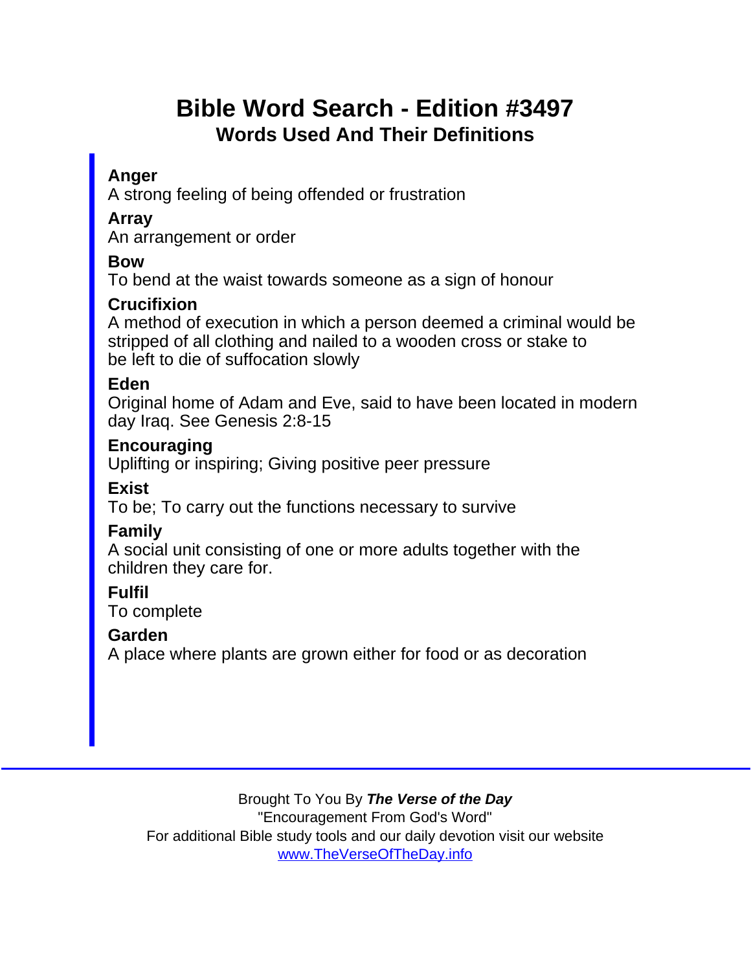# Bible Word Search - Edition #3497 Words Used And Their Definitions

### Anger

A strong feeling of being offended or frustration

Array

An arrangement or order

Bow

To bend at the waist towards someone as a sign of honour

**Crucifixion** 

A method of execution in which a person deemed a criminal would be stripped of all clothing and nailed to a wooden cross or stake to be left to die of suffocation slowly

Eden

Original home of Adam and Eve, said to have been located in modern day Iraq. See Genesis 2:8-15

**Encouraging** 

Uplifting or inspiring; Giving positive peer pressure

Exist

To be; To carry out the functions necessary to survive

Family

A social unit consisting of one or more adults together with the children they care for.

Fulfil

To complete

Garden

A place where plants are grown either for food or as decoration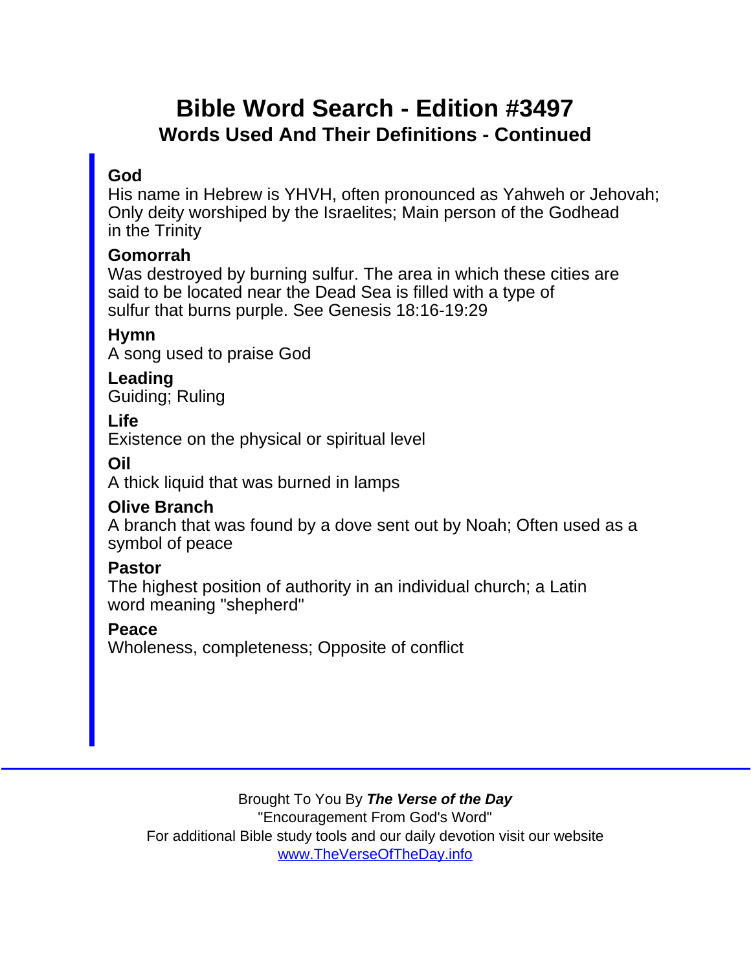# Bible Word Search - Edition #3497 Words Used And Their Definitions - Continued

#### God

His name in Hebrew is YHVH, often pronounced as Yahweh or Jehovah; Only deity worshiped by the Israelites; Main person of the Godhead in the Trinity

Gomorrah

Was destroyed by burning sulfur. The area in which these cities are said to be located near the Dead Sea is filled with a type of sulfur that burns purple. See Genesis 18:16-19:29

Hymn

A song used to praise God

Leading Guiding; Ruling

Life

Existence on the physical or spiritual level

Oil

A thick liquid that was burned in lamps

Olive Branch

A branch that was found by a dove sent out by Noah; Often used as a symbol of peace

Pastor

The highest position of authority in an individual church; a Latin word meaning "shepherd"

Peace

Wholeness, completeness; Opposite of conflict